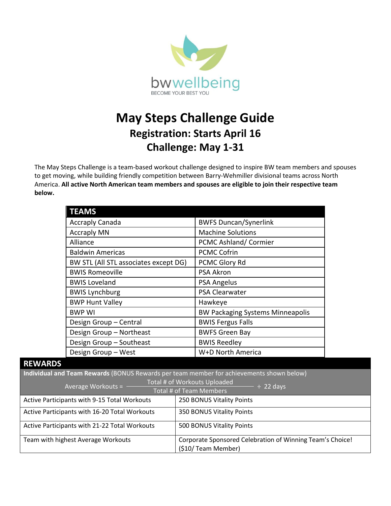

## **May Steps Challenge Guide Registration: Starts April 16 Challenge: May 1-31**

The May Steps Challenge is a team-based workout challenge designed to inspire BW team members and spouses to get moving, while building friendly competition between Barry-Wehmiller divisional teams across North America. **All active North American team members and spouses are eligible to join their respective team below.**

| <b>TEAMS</b>                          |                                         |
|---------------------------------------|-----------------------------------------|
| <b>Accraply Canada</b>                | <b>BWFS Duncan/Synerlink</b>            |
| <b>Accraply MN</b>                    | <b>Machine Solutions</b>                |
| Alliance                              | PCMC Ashland/Cormier                    |
| <b>Baldwin Americas</b>               | <b>PCMC Cofrin</b>                      |
| BW STL (All STL associates except DG) | PCMC Glory Rd                           |
| <b>BWIS Romeoville</b>                | <b>PSA Akron</b>                        |
| <b>BWIS Loveland</b>                  | <b>PSA Angelus</b>                      |
| <b>BWIS Lynchburg</b>                 | <b>PSA Clearwater</b>                   |
| <b>BWP Hunt Valley</b>                | Hawkeye                                 |
| <b>BWP WI</b>                         | <b>BW Packaging Systems Minneapolis</b> |
| Design Group - Central                | <b>BWIS Fergus Falls</b>                |
| Design Group - Northeast              | <b>BWFS Green Bay</b>                   |
| Design Group - Southeast              | <b>BWIS Reedley</b>                     |
| Design Group - West                   | W+D North America                       |

## **REWARDS**

**Individual and Team Rewards** (BONUS Rewards per team member for achievements shown below)

| Total # of Workouts Uploaded<br>Average Workouts =<br>$\div$ 22 days |                                                                                 |
|----------------------------------------------------------------------|---------------------------------------------------------------------------------|
| Total # of Team Members                                              |                                                                                 |
| <b>Active Participants with 9-15 Total Workouts</b>                  | 250 BONUS Vitality Points                                                       |
| Active Participants with 16-20 Total Workouts                        | 350 BONUS Vitality Points                                                       |
| Active Participants with 21-22 Total Workouts                        | 500 BONUS Vitality Points                                                       |
| Team with highest Average Workouts                                   | Corporate Sponsored Celebration of Winning Team's Choice!<br>(\$10/Team Member) |